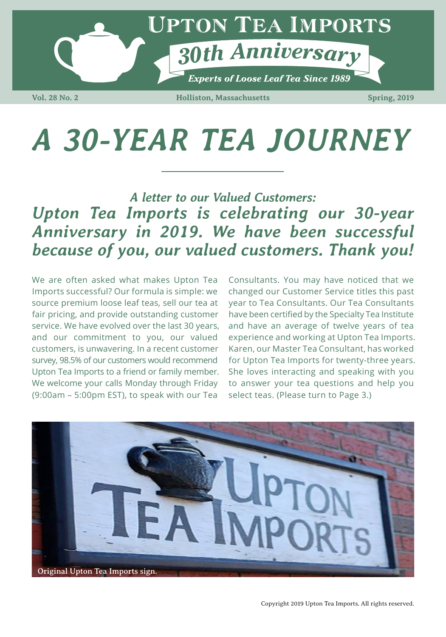

**Vol. 28 No. 2 Holliston, Massachusetts Spring, 2019**

## *A 30-YEAR TEA JOURNEY*

## *Upton Tea Imports is celebrating our 30-year Anniversary in 2019. We have been successful because of you, our valued customers. Thank you! A letter to our Valued Customers:*

We are often asked what makes Upton Tea Imports successful? Our formula is simple: we source premium loose leaf teas, sell our tea at fair pricing, and provide outstanding customer service. We have evolved over the last 30 years, and our commitment to you, our valued customers, is unwavering. In a recent customer survey, 98.5% of our customers would recommend Upton Tea Imports to a friend or family member. We welcome your calls Monday through Friday (9:00am – 5:00pm EST), to speak with our Tea

Consultants. You may have noticed that we changed our Customer Service titles this past year to Tea Consultants. Our Tea Consultants have been certified by the Specialty Tea Institute and have an average of twelve years of tea experience and working at Upton Tea Imports. Karen, our Master Tea Consultant, has worked for Upton Tea Imports for twenty-three years. She loves interacting and speaking with you to answer your tea questions and help you select teas. (Please turn to Page 3.)

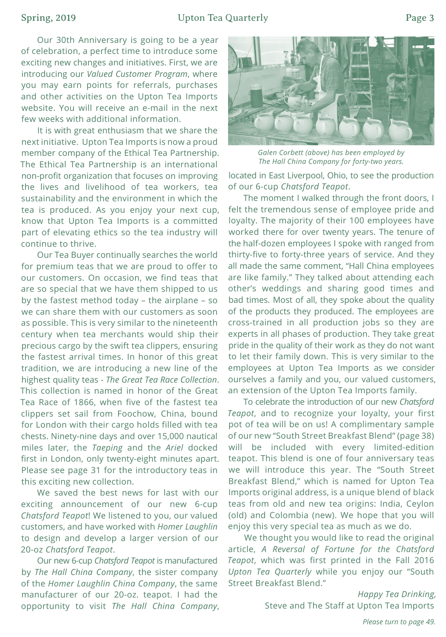## Spring, 2019 **Determined Upton Tea Quarterly** Page 3

Our 30th Anniversary is going to be a year of celebration, a perfect time to introduce some exciting new changes and initiatives. First, we are introducing our *Valued Customer Program*, where you may earn points for referrals, purchases and other activities on the Upton Tea Imports website. You will receive an e-mail in the next few weeks with additional information.

It is with great enthusiasm that we share the next initiative. Upton Tea Imports is now a proud member company of the Ethical Tea Partnership. The Ethical Tea Partnership is an international non-profit organization that focuses on improving the lives and livelihood of tea workers, tea sustainability and the environment in which the tea is produced. As you enjoy your next cup, know that Upton Tea Imports is a committed part of elevating ethics so the tea industry will continue to thrive.

Our Tea Buyer continually searches the world for premium teas that we are proud to offer to our customers. On occasion, we find teas that are so special that we have them shipped to us by the fastest method today – the airplane – so we can share them with our customers as soon as possible. This is very similar to the nineteenth century when tea merchants would ship their precious cargo by the swift tea clippers, ensuring the fastest arrival times. In honor of this great tradition, we are introducing a new line of the highest quality teas - *The Great Tea Race Collection*. This collection is named in honor of the Great Tea Race of 1866, when five of the fastest tea clippers set sail from Foochow, China, bound for London with their cargo holds filled with tea chests. Ninety-nine days and over 15,000 nautical miles later, the *Taeping* and the *Ariel* docked first in London, only twenty-eight minutes apart. Please see page 31 for the introductory teas in this exciting new collection.

We saved the best news for last with our exciting announcement of our new 6-cup *Chatsford Teapot*! We listened to you, our valued customers, and have worked with *Homer Laughlin* to design and develop a larger version of our 20-oz *Chatsford Teapot*.

Our new 6-cup *Chatsford Teapot* is manufactured by *The Hall China Company*, the sister company of the *Homer Laughlin China Company*, the same manufacturer of our 20-oz. teapot. I had the opportunity to visit *The Hall China Company*,



*Galen Corbett (above) has been employed by The Hall China Company for forty-two years.*

located in East Liverpool, Ohio, to see the production of our 6-cup *Chatsford Teapot*.

The moment I walked through the front doors, I felt the tremendous sense of employee pride and loyalty. The majority of their 100 employees have worked there for over twenty years. The tenure of the half-dozen employees I spoke with ranged from thirty-five to forty-three years of service. And they all made the same comment, "Hall China employees are like family." They talked about attending each other's weddings and sharing good times and bad times. Most of all, they spoke about the quality of the products they produced. The employees are cross-trained in all production jobs so they are experts in all phases of production. They take great pride in the quality of their work as they do not want to let their family down. This is very similar to the employees at Upton Tea Imports as we consider ourselves a family and you, our valued customers, an extension of the Upton Tea Imports family.

To celebrate the introduction of our new *Chatsford Teapot*, and to recognize your loyalty, your first pot of tea will be on us! A complimentary sample of our new "South Street Breakfast Blend" (page 38) will be included with every limited-edition teapot. This blend is one of four anniversary teas we will introduce this year. The "South Street Breakfast Blend," which is named for Upton Tea Imports original address, is a unique blend of black teas from old and new tea origins: India, Ceylon (old) and Colombia (new). We hope that you will enjoy this very special tea as much as we do.

We thought you would like to read the original article, *A Reversal of Fortune for the Chatsford Teapot*, which was first printed in the Fall 2016 *Upton Tea Quarterly* while you enjoy our "South Street Breakfast Blend."

> *Happy Tea Drinking,* Steve and The Staff at Upton Tea Imports

*Please turn to page 49.*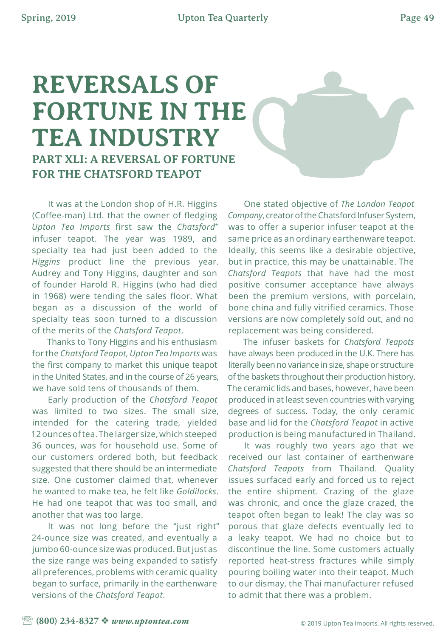## **REVERSALS OF FORTUNE IN THE TEA INDUSTRY PART XLI: A REVERSAL OF FORTUNE FOR THE CHATSFORD TEAPOT**

It was at the London shop of H.R. Higgins (Coffee-man) Ltd. that the owner of fledging *Upton Tea Imports* first saw the *Chatsford*\* infuser teapot. The year was 1989, and specialty tea had just been added to the *Higgins* product line the previous year. Audrey and Tony Higgins, daughter and son of founder Harold R. Higgins (who had died in 1968) were tending the sales floor. What began as a discussion of the world of specialty teas soon turned to a discussion of the merits of the *Chatsford Teapot*.

Thanks to Tony Higgins and his enthusiasm for the *Chatsford Teapot, Upton Tea Imports* was the first company to market this unique teapot in the United States, and in the course of 26 years, we have sold tens of thousands of them.

Early production of the *Chatsford Teapot*  was limited to two sizes. The small size, intended for the catering trade, yielded 12 ounces of tea. The larger size, which steeped 36 ounces, was for household use. Some of our customers ordered both, but feedback suggested that there should be an intermediate size. One customer claimed that, whenever he wanted to make tea, he felt like *Goldilocks*. He had one teapot that was too small, and another that was too large.

It was not long before the "just right" 24-ounce size was created, and eventually a jumbo 60-ounce size was produced. But just as the size range was being expanded to satisfy all preferences, problems with ceramic quality began to surface, primarily in the earthenware versions of the *Chatsford Teapot*.

One stated objective of *The London Teapot Company*, creator of the Chatsford Infuser System, was to offer a superior infuser teapot at the same price as an ordinary earthenware teapot. Ideally, this seems like a desirable objective, but in practice, this may be unattainable. The *Chatsford Teapots* that have had the most positive consumer acceptance have always been the premium versions, with porcelain, bone china and fully vitrified ceramics. Those versions are now completely sold out, and no replacement was being considered.

The infuser baskets for *Chatsford Teapots* have always been produced in the U.K. There has literally been no variance in size, shape or structure of the baskets throughout their production history. The ceramic lids and bases, however, have been produced in at least seven countries with varying degrees of success. Today, the only ceramic base and lid for the *Chatsford Teapot* in active production is being manufactured in Thailand.

It was roughly two years ago that we received our last container of earthenware *Chatsford Teapots* from Thailand. Quality issues surfaced early and forced us to reject the entire shipment. Crazing of the glaze was chronic, and once the glaze crazed, the teapot often began to leak! The clay was so porous that glaze defects eventually led to a leaky teapot. We had no choice but to discontinue the line. Some customers actually reported heat-stress fractures while simply pouring boiling water into their teapot. Much to our dismay, the Thai manufacturer refused to admit that there was a problem.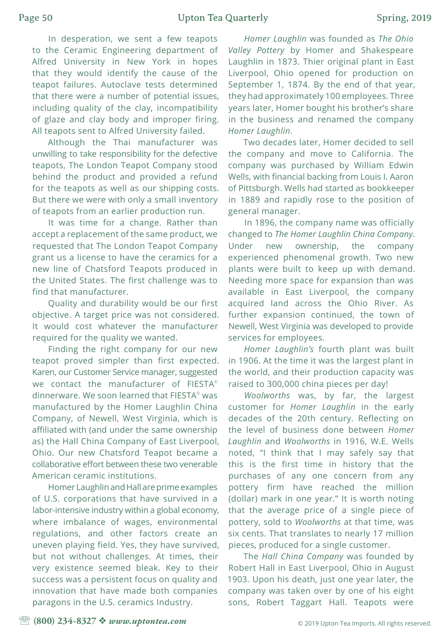In desperation, we sent a few teapots to the Ceramic Engineering department of Alfred University in New York in hopes that they would identify the cause of the teapot failures. Autoclave tests determined that there were a number of potential issues, including quality of the clay, incompatibility of glaze and clay body and improper firing. All teapots sent to Alfred University failed.

Although the Thai manufacturer was unwilling to take responsibility for the defective teapots, The London Teapot Company stood behind the product and provided a refund for the teapots as well as our shipping costs. But there we were with only a small inventory of teapots from an earlier production run.

It was time for a change. Rather than accept a replacement of the same product, we requested that The London Teapot Company grant us a license to have the ceramics for a new line of Chatsford Teapots produced in the United States. The first challenge was to find that manufacturer.

Quality and durability would be our first objective. A target price was not considered. It would cost whatever the manufacturer required for the quality we wanted.

Finding the right company for our new teapot proved simpler than first expected. Karen, our Customer Service manager, suggested we contact the manufacturer of FIESTA<sup>®</sup> dinnerware. We soon learned that FIESTA<sup>®</sup> was manufactured by the Homer Laughlin China Company, of Newell, West Virginia, which is affiliated with (and under the same ownership as) the Hall China Company of East Liverpool, Ohio. Our new Chatsford Teapot became a collaborative effort between these two venerable American ceramic institutions.

Homer Laughlin and Hall are prime examples of U.S. corporations that have survived in a labor-intensive industry within a global economy, where imbalance of wages, environmental regulations, and other factors create an uneven playing field. Yes, they have survived, but not without challenges. At times, their very existence seemed bleak. Key to their success was a persistent focus on quality and innovation that have made both companies paragons in the U.S. ceramics Industry.

*Homer Laughlin* was founded as *The Ohio Valley Pottery* by Homer and Shakespeare Laughlin in 1873. Thier original plant in East Liverpool, Ohio opened for production on September 1, 1874. By the end of that year, they had approximately 100 employees. Three years later, Homer bought his brother's share in the business and renamed the company *Homer Laughlin*.

Two decades later, Homer decided to sell the company and move to California. The company was purchased by William Edwin Wells, with financial backing from Louis I. Aaron of Pittsburgh. Wells had started as bookkeeper in 1889 and rapidly rose to the position of general manager.

In 1896, the company name was officially changed to *The Homer Laughlin China Company*. Under new ownership, the company experienced phenomenal growth. Two new plants were built to keep up with demand. Needing more space for expansion than was available in East Liverpool, the company acquired land across the Ohio River. As further expansion continued, the town of Newell, West Virginia was developed to provide services for employees.

*Homer Laughlin's* fourth plant was built in 1906. At the time it was the largest plant in the world, and their production capacity was raised to 300,000 china pieces per day!

*Woolworths* was, by far, the largest customer for *Homer Laughlin* in the early decades of the 20th century. Reflecting on the level of business done between *Homer Laughlin* and *Woolworths* in 1916, W.E. Wells noted, "I think that I may safely say that this is the first time in history that the purchases of any one concern from any pottery firm have reached the million (dollar) mark in one year." It is worth noting that the average price of a single piece of pottery, sold to *Woolworths* at that time, was six cents. That translates to nearly 17 million pieces, produced for a single customer.

The *Hall China Company* was founded by Robert Hall in East Liverpool, Ohio in August 1903. Upon his death, just one year later, the company was taken over by one of his eight sons, Robert Taggart Hall. Teapots were